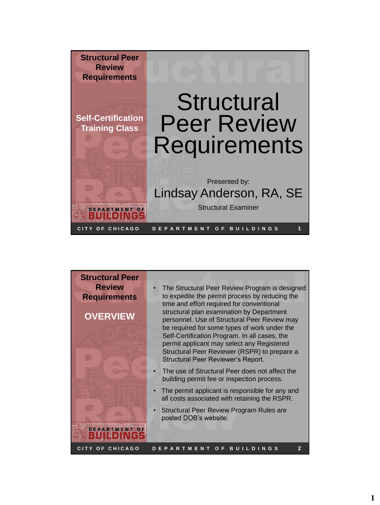

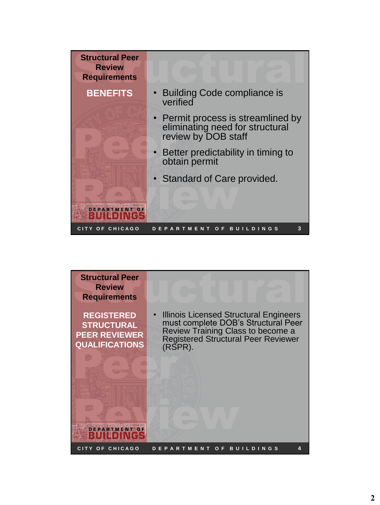

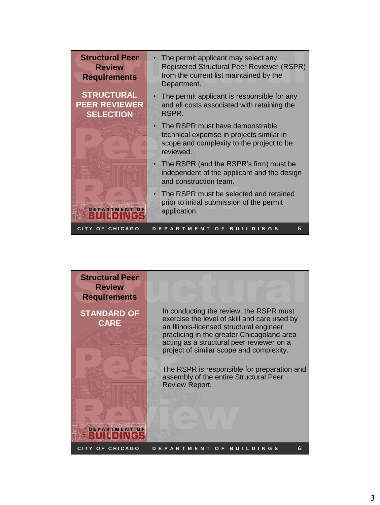| <b>Structural Peer</b>                                        | The permit applicant may select any                                                                                                                  |
|---------------------------------------------------------------|------------------------------------------------------------------------------------------------------------------------------------------------------|
| <b>Review</b><br><b>Requirements</b>                          | <b>Registered Structural Peer Reviewer (RSPR)</b><br>from the current list maintained by the<br>Department.                                          |
| <b>STRUCTURAL</b><br><b>PEER REVIEWER</b><br><b>SELECTION</b> | The permit applicant is responsible for any<br>and all costs associated with retaining the<br>RSPR.                                                  |
|                                                               | The RSPR must have demonstrable<br>$\bullet$<br>technical expertise in projects similar in<br>scope and complexity to the project to be<br>reviewed. |
|                                                               | • The RSPR (and the RSPR's firm) must be<br>independent of the applicant and the design<br>and construction team.                                    |
| DEPARTMENT OF                                                 | The RSPR must be selected and retained<br>$\bullet$<br>prior to initial submission of the permit<br>application.                                     |
| OF CHICAGO                                                    | 5<br><b>MEN</b><br>OF<br>в<br>D I<br>N G S<br>п                                                                                                      |

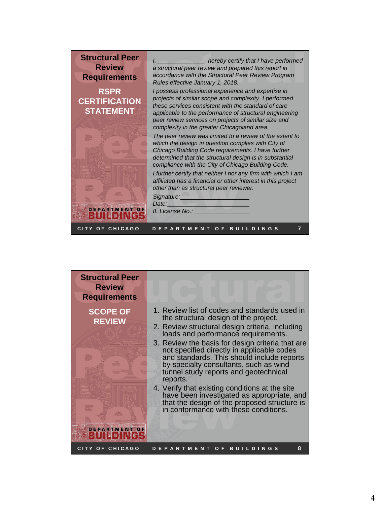

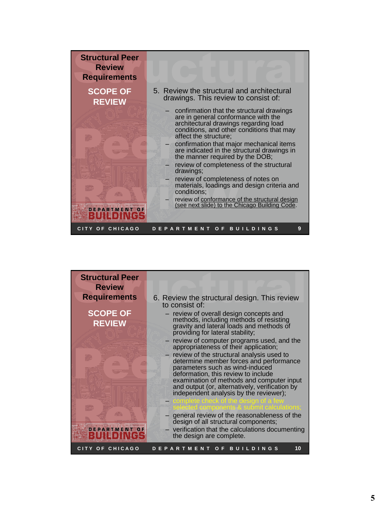

| <b>Structural Peer</b> |                                                                                                                     |
|------------------------|---------------------------------------------------------------------------------------------------------------------|
| <b>Review</b>          |                                                                                                                     |
| <b>Requirements</b>    |                                                                                                                     |
|                        | 6. Review the structural design. This review<br>to consist of:                                                      |
| <b>SCOPE OF</b>        |                                                                                                                     |
|                        | - review of overall design concepts and<br>methods, including methods of resisting                                  |
| <b>REVIEW</b>          | gravity and lateral loads and methods of<br>providing for lateral stability;                                        |
|                        | - review of computer programs used, and the<br>appropriateness of their application;                                |
|                        | - review of the structural analysis used to<br>determine member forces and performance                              |
|                        | parameters such as wind-induced<br>deformation, this review to include<br>examination of methods and computer input |
|                        | and output (or, alternatively, verification by<br>independent analysis by the reviewer);                            |
|                        | complete check of the design of a few<br>selected components & submit calculations:                                 |
|                        | general review of the reasonableness of the<br>design of all structural components;                                 |
| <b>DEPARTMENT OF</b>   | - verification that the calculations documenting<br>the design are complete.                                        |
| CITY OF CHICAGO        | 10<br><b>DEPARTMENT</b><br><b>BUILDINGS</b><br>O F                                                                  |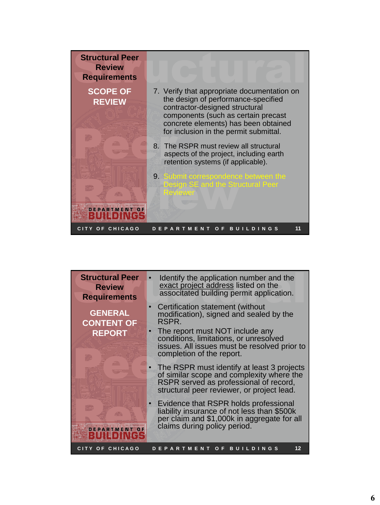

| <b>Structural Peer</b><br><b>Review</b><br><b>Requirements</b> | Identify the application number and the<br>exact project address listed on the<br>associtated building permit application.                                                                                                                     |
|----------------------------------------------------------------|------------------------------------------------------------------------------------------------------------------------------------------------------------------------------------------------------------------------------------------------|
| <b>GENERAL</b><br><b>CONTENT OF</b><br><b>REPORT</b>           | Certification statement (without<br>modification), signed and sealed by the<br>RSPR.<br>The report must NOT include any<br>conditions, limitations, or unresolved<br>issues. All issues must be resolved prior to<br>completion of the report. |
|                                                                | The RSPR must identify at least 3 projects<br>of similar scope and complexity where the<br>RSPR served as professional of record,<br>structural peer reviewer, or project lead.                                                                |
| <b>PARTMENT OF</b>                                             | Evidence that RSPR holds professional<br>liability insurance of not less than \$500k<br>per claim and \$1,000k in aggregate for all<br>claims during policy period.                                                                            |
| CITY OF CHICAGO                                                | 12<br><b>BUILDINGS</b><br><b>RTMENT</b><br>O F<br>A                                                                                                                                                                                            |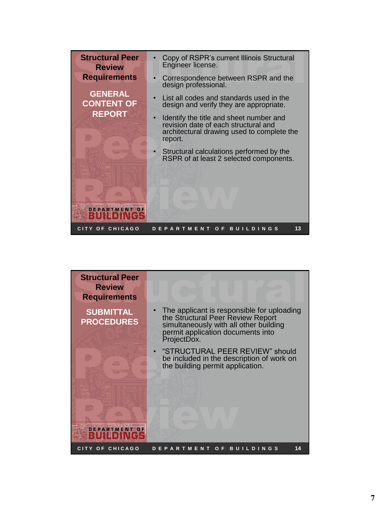

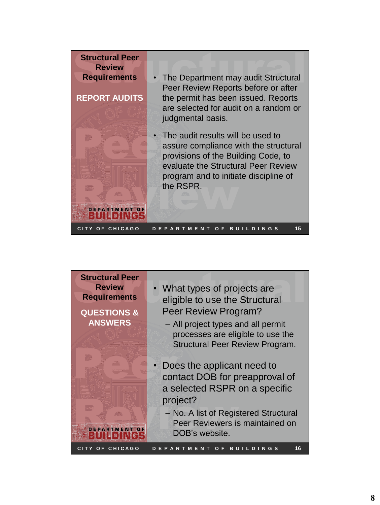

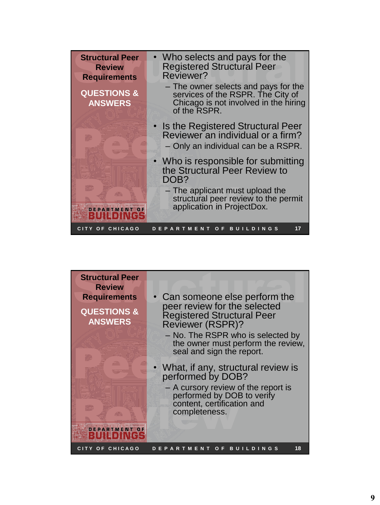| <b>Structural Peer</b><br><b>Review</b><br><b>Requirements</b><br><b>QUESTIONS &amp;</b><br><b>ANSWERS</b> | • Who selects and pays for the<br><b>Registered Structural Peer</b><br>Reviewer?<br>- The owner selects and pays for the<br>services of the RSPR. The City of<br>Chicago is not involved in the hiring<br>of the RSPR. |
|------------------------------------------------------------------------------------------------------------|------------------------------------------------------------------------------------------------------------------------------------------------------------------------------------------------------------------------|
|                                                                                                            | • Is the Registered Structural Peer<br>Reviewer an individual or a firm?<br>- Only an individual can be a RSPR.                                                                                                        |
|                                                                                                            | • Who is responsible for submitting<br>the Structural Peer Review to<br>DOB?                                                                                                                                           |
| <b>DEPARTMENT OF</b><br>目                                                                                  | - The applicant must upload the<br>structural peer review to the permit<br>application in ProjectDox.                                                                                                                  |
| CITY OF CHICAGO                                                                                            | 17<br><b>ARTMENT</b><br><b>BUILDINGS</b><br>O F<br>E P                                                                                                                                                                 |